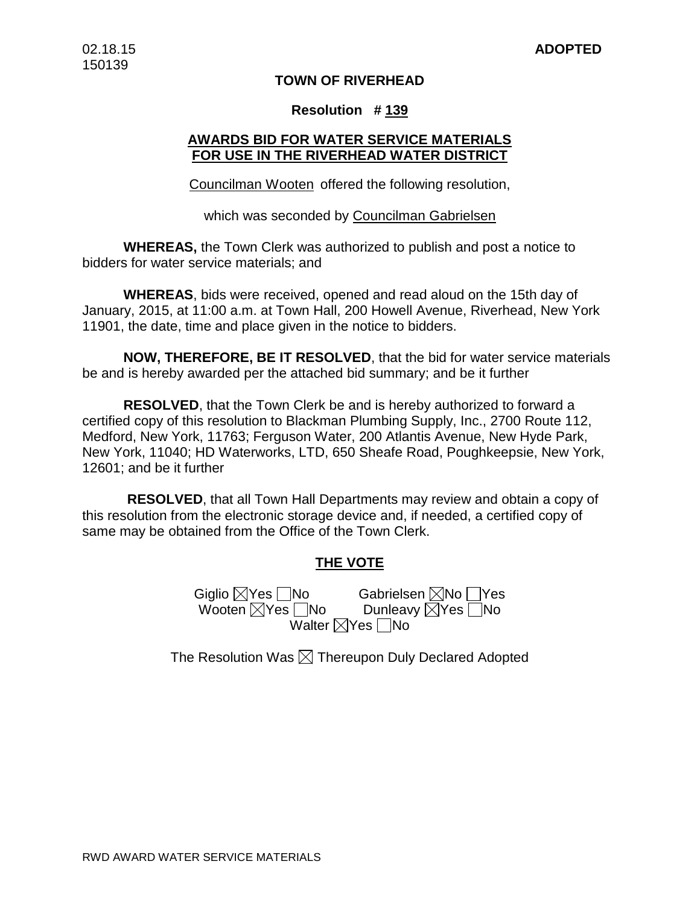## **TOWN OF RIVERHEAD**

### **Resolution # 139**

## **AWARDS BID FOR WATER SERVICE MATERIALS FOR USE IN THE RIVERHEAD WATER DISTRICT**

Councilman Wooten offered the following resolution,

which was seconded by Councilman Gabrielsen

**WHEREAS,** the Town Clerk was authorized to publish and post a notice to bidders for water service materials; and

**WHEREAS**, bids were received, opened and read aloud on the 15th day of January, 2015, at 11:00 a.m. at Town Hall, 200 Howell Avenue, Riverhead, New York 11901, the date, time and place given in the notice to bidders.

**NOW, THEREFORE, BE IT RESOLVED**, that the bid for water service materials be and is hereby awarded per the attached bid summary; and be it further

**RESOLVED**, that the Town Clerk be and is hereby authorized to forward a certified copy of this resolution to Blackman Plumbing Supply, Inc., 2700 Route 112, Medford, New York, 11763; Ferguson Water, 200 Atlantis Avenue, New Hyde Park, New York, 11040; HD Waterworks, LTD, 650 Sheafe Road, Poughkeepsie, New York, 12601; and be it further

**RESOLVED**, that all Town Hall Departments may review and obtain a copy of this resolution from the electronic storage device and, if needed, a certified copy of same may be obtained from the Office of the Town Clerk.

## **THE VOTE**

Giglio ⊠Yes \_\_|No Gabrielsen ⊠No \_\_|Yes Wooten Yes No Dunleavy Yes No Walter  $\nabla$ Yes  $\nabla$ No

The Resolution Was  $\boxtimes$  Thereupon Duly Declared Adopted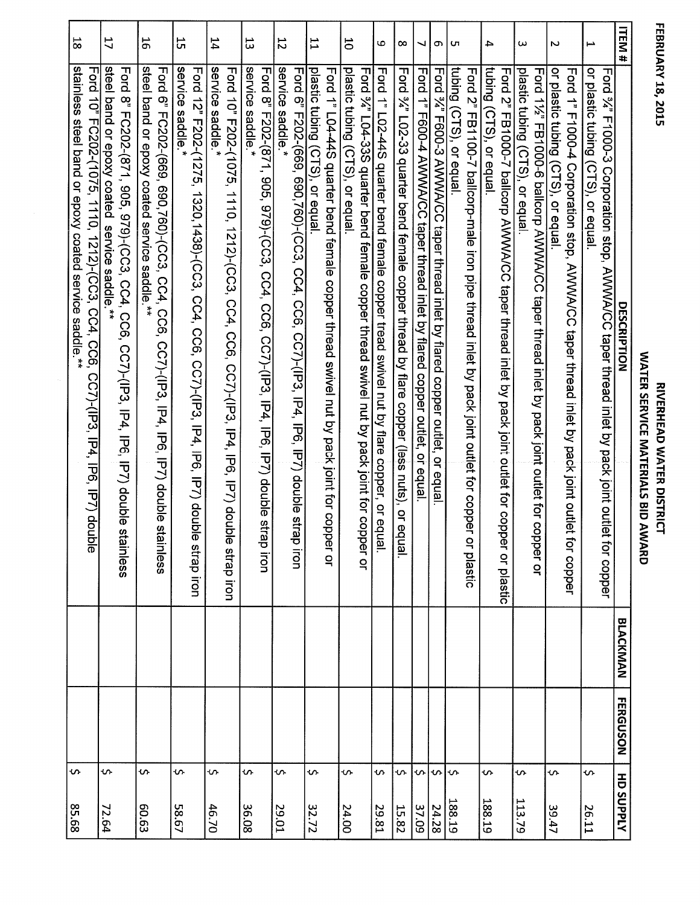| I           |
|-------------|
| ł           |
| t<br>ú<br>ľ |
|             |
|             |

| <b>ITEM#</b><br>Ţ | or plastic tubing (CTS), or equal<br>Ford %" F1000-3 Corporation stop, AWWA/CC taper thread inlet by pack joint outle                         |
|-------------------|-----------------------------------------------------------------------------------------------------------------------------------------------|
|                   | Ford 1" F1000-4 Corporation stop, AWWA/CC taper thread inlet by pack joint outle-<br>or equalic tubing (CTS), or equal                        |
| $\omega$          | plastic tubing (CTS), or equa<br>Ford 11/2" FB1000-6 ballcorp AWWA/CC taper thread inlet by pack joint outlet for co                          |
| 4                 | tubing (CTS), or equal<br>Ford 2" FB1000-7 ballcorp AINVNA/CC taper thread inlet by pack joint outlet for copper or plastic                   |
|                   | Ford 2" FB1100-7 ballcorp-male iron pipe thread inlet by pack joint outlet for coppe                                                          |
| <b>UT</b>         | tubing (CTS), or equal                                                                                                                        |
| თ                 | Ford 34" F600-3 AWWA/CC taper thread inlet by flared copper outlet, or equal                                                                  |
| ┙                 | Ford 1" F600-4 AVVVVA/CC taper thread inlet by flared copper outlet, or equal                                                                 |
| œ                 | Ford 34" L02-33 quarter bend female copper thread by flare copper (less nuts), or equal                                                       |
| Ю                 | Ford 1" L02-44S quarter bend female copper tread swivel nut by flare copper, or equal                                                         |
| 5                 | plastic tubing (CTS), or equal<br>Ford %" L04-33S quarter bend female copper thread swivel nut by pack joint for co                           |
|                   | Ford 1" L04-44S quarter bend female copper thread swivel nut by pack joint for copper or                                                      |
| IJ                | plastic tubing (CTS), or equal                                                                                                                |
|                   | Ford 6" F202-(669, 690,760)-(CC3, CC4, CC6, CC7)-(IP3, IP4, IP6, IP7) double strap iron                                                       |
| $\overline{5}$    | service saddle*<br>Ford 8" F202-(871,<br>905, 979)-(CC3, CC4, CC6, CC7)-(IP3, IP4, IP6, IP7) double                                           |
| 53                | service saddle.                                                                                                                               |
|                   | Ford 10" F202-(1075,<br>1110,<br>1212)-(CC3, CC4, CC6, CC7)-(IP3, IP6, IP7) double strap iron                                                 |
| 14                | service saddle                                                                                                                                |
| 55                | service saddle<br>Ford 12" F202-(1275, 1320, 1438)-(CC3, CC4, CC6, CC7)-(IP3, IP4, IP6, P7) doub                                              |
| 5                 | steel band or epoxy coated service saddle.**<br>Ford 6" FC202-(669, 690,760)-(CC3, CC4, CC6, CC7)-(IP3, IP4, IP6, IP7) double                 |
| 17                | steel band or epoxy coated service saddle.<br>Ford 8" FC202-(871, 905, 979)-(CC3, CC4, CC6,<br>$\ddot{x}$<br>CC7)-(IP3, IP4, IP6, IP7) double |
| 58                | stainless steel band or epoxy coated service saddle.**<br>Ford 10" FC202-(1075, 1110, 1212)-(CC3, CC4, CC6,<br>CC7)-(IP3, IP4, IP6, IP7) dor  |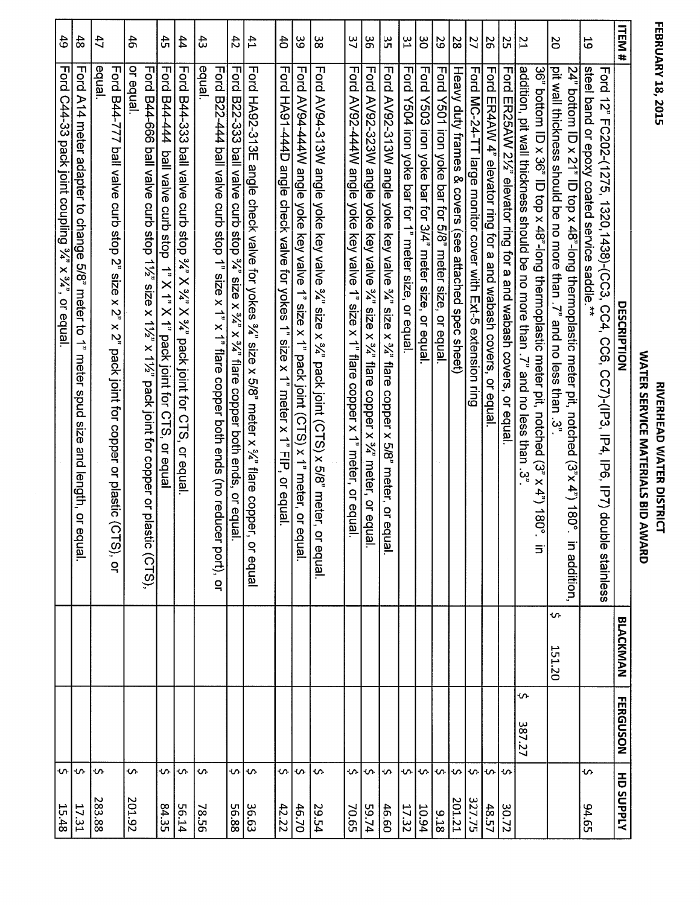| 「ロフく)ファー |  |
|----------|--|
| -8,2015  |  |
|          |  |
|          |  |

| <b>ITEM#</b>    |                                                                                                                                                       |
|-----------------|-------------------------------------------------------------------------------------------------------------------------------------------------------|
| 59              | steel band or epoxy coated service saddle.**<br>Ford 12" FC202-(1275, 1320, 1438)-(CC3, CC4, CC6, CC7)-(IP3, IP4, IP6, IP7) dou<br><b>DESCRIPTION</b> |
|                 | 24" bottom ID x 21" ID top x 48"-long thermoplastic meter pit, notched (3"x 4") 180°                                                                  |
| <b>D</b>        | pit wall thickness should be no more than . /," and no less than . /3,"                                                                               |
|                 | 36" bottom ID x 36" ID top x 48"-long thermoplastic meter bit, uptoped (3" x 4") 180"                                                                 |
| $\overline{L}$  | addition, pit wall thickness should be no more than . /' and no less than . 3"                                                                        |
| 52              | Ford ER25AW 21/2" elevator ring for a and wabash covers, or equal                                                                                     |
| 56              | Ford ER4AW 4" elevator ring for a and wabash covers,<br>or equal                                                                                      |
| 27              | Ford MC-24-TT large monitor cover with Ext-5 extension ring                                                                                           |
| 8Z              | Heavy duty frames & covers (see attached spec sheet)                                                                                                  |
| 29              | Ford Y501 iron yoke par tor 5/8" meter size, or equal                                                                                                 |
| ပ္ပ             | Ford Y503 iron yoke par for 3/4" meter size, or equal                                                                                                 |
| $\frac{2}{3}$   | Ford Y504 iron yoke bar for 1" meter size, or equal                                                                                                   |
| 33              | Ford AV92-313W angle yoke key valve 34" size x 34" flare<br>copper x 5/8" meter, or e                                                                 |
| δg              | Ford AV92-323W angle yoke key valve 34" size x 34" flare copper x 34" meter, or equal.                                                                |
| 37              | Ford AV92-444W angle yoke key valve 1" size x 1" flare copper x 1" meter, or equal.                                                                   |
| ယ္လ             | Ford AV94-313W angle yoke key valve 3/2" size x 3/2" pack joint (CTS) x 5/8" meter,                                                                   |
| 89              | Ford AV94-444W angle yoke key valve 1" size x 1" pack joint (CTS) x 1" meter, or                                                                      |
| $\ddot{\sigma}$ | Ford HA91-444D angle check valve for yokes 1" size x 1" meter x 1" FIP, or equal.                                                                     |
| 41              | Ford HA92-313E angle check valve for yokes 34" size x 5/8" meter x 34" flare copper, or equal                                                         |
| 42              | Ford B22-333 ball valve curb stop 34" size x 34" x 34" flare copper both ends, or equal.                                                              |
| 43              | edual<br>Ford B22-444 ball valve curb stop 1" size x 1" x 1" flare copper both ends (no reduc                                                         |
| 44              | Ford B44-333 ball valve curb sk" X 3/4" X 3/4" pack joint for CTS, or equal                                                                           |
| 45              | Ford B44-444 ball valve curb stop 1" X 1" X 1" Abock joint for CTS, or equal                                                                          |
| $\ddot{6}$      | or equal<br>Ford B44-666 ball valve curb stop 11/2" size x 11/2" x 11/2" pack joint for copper or plastic (CTS),                                      |
| 47              | equal<br>Ford B44-777 ball valve curb stop 2" size x 2"<br>x 2"<br>pack joint for copper or plastic (CTS), or                                         |
| 48              | Ford A14 meter adapter to change 5/8" meter to 1" meter spud size and length, or                                                                      |
| 49              | Ford C44-33 pack joint coupling 3/2" x 3/2", or equal.                                                                                                |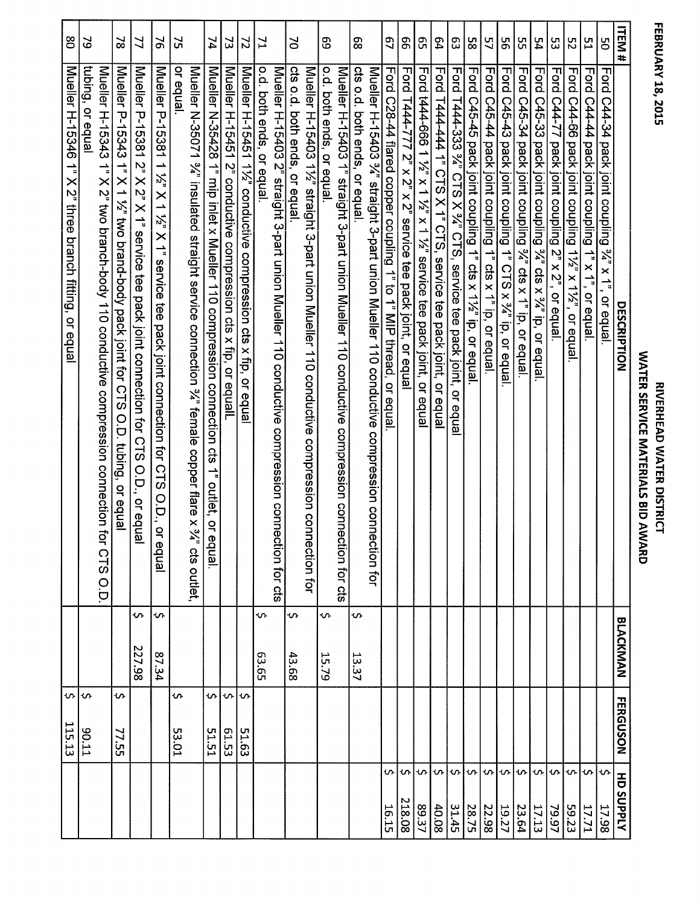## **FEBRUARY 18, 2015**

| 80                                                                                         | 5                                                                                                                    | $\approx$                                                                            | $\preceq$                                                                                           | $\geq$                                                                                                                          | Σ,          |                                                                                                                            | 74                                                                                                                                    | 2                                                              | $\overline{z}$                                                   | $\mathbf{Z}$             |                                                                                                | $\geq$                       |                                                                                                   | 69                       |                                                                                                    | 89                           |                                                                                                   | 57                                                                  | 99                                                                | ვე                                                             | 54                                                              | ဥ                                                               | 9s                                                             | 57                                                                                  | 95                                                                                            | 55                                                                               | 54                                                          | ပ္ပ                                                | 52                                                      | 51                                                   | ပ္မ                                                                                    | ITEM<br>$\ddot{}$ |
|--------------------------------------------------------------------------------------------|----------------------------------------------------------------------------------------------------------------------|--------------------------------------------------------------------------------------|-----------------------------------------------------------------------------------------------------|---------------------------------------------------------------------------------------------------------------------------------|-------------|----------------------------------------------------------------------------------------------------------------------------|---------------------------------------------------------------------------------------------------------------------------------------|----------------------------------------------------------------|------------------------------------------------------------------|--------------------------|------------------------------------------------------------------------------------------------|------------------------------|---------------------------------------------------------------------------------------------------|--------------------------|----------------------------------------------------------------------------------------------------|------------------------------|---------------------------------------------------------------------------------------------------|---------------------------------------------------------------------|-------------------------------------------------------------------|----------------------------------------------------------------|-----------------------------------------------------------------|-----------------------------------------------------------------|----------------------------------------------------------------|-------------------------------------------------------------------------------------|-----------------------------------------------------------------------------------------------|----------------------------------------------------------------------------------|-------------------------------------------------------------|----------------------------------------------------|---------------------------------------------------------|------------------------------------------------------|----------------------------------------------------------------------------------------|-------------------|
| Mueller<br>H-15346<br>$\frac{1}{a}$<br>X 2" three branch fitting,<br>$\mathbf{Q}$<br>equal | tubing, or equal<br>Mueller H-15343<br>1" X 2" two branch-body 110 conductive compression connection<br>for CTS O.D. | Mueller P-15343 1" X 1 1%" two brand-body pack joint for CTS<br>O.D. tubing, or equa | Mueller P-15381 2" X 2" X 2" X 1" service tee pack joint connection for CTS O.D., or eq<br>lal<br>I | Mueller P-15381<br>1 1/2 X 1 1/2"<br>$\times$ $\uparrow$<br>service<br>ම්<br>pack joint connection for CTS<br>O.D.,<br>or equal | or equal    | Mueller N-35071 %" insulated straight service connection %" female copper flare<br>$\times$<br>$\frac{3}{4}$ " cts outlet, | Mueller N-35428 1"<br>mip inlet x Mueller 110 compression connection cts<br>$\stackrel{\rightharpoonup}{\cdot}$<br>outlet, o<br>equal | Mueller H-15451 2" conductive compression cts x fip, or equall | Mueller H-15451 11/2" conductive compression cts x fip, or equal | o.d. both ends, or equal | Mueller H-15403 2" straight 3-part union Mueller 110 conductive compression connection for cts | cts o.d. both ends, or equal | Mueller H-15403 11/2" straight 3-part union Mueller 110 conductive compression co<br>nnection for | o.d. both ends, or equal | Mueller H-15403 1" straight 3-part union Mueller 110 conductive compression conn<br>ection for cts | cts o.d. both ends, or equal | Mueller H-15403 %"<br>straight 3-part union Mueller 110 conductive compression con<br>nection for | Ford C28-44 flared copper coupling 1" to 1" MIP<br>thread, or equal | Ford T444-777 $2"$ x $2"$ x $2"$ service tee pack joint, or equal | Ford t444-666 1 1/2" x 1 1/2" service tee pack joint, or equal | Ford T444-444 1" CTS X 1" CTS, service tee pack joint, or equal | Ford T444-333 %" CTS X %" CTS, service tee pack joint, or equal | Ford C45-45 pack joint coupling<br>1" cts x 11/2" ip, or equal | Ford C45-44 pack joint coupling<br>$\rightarrow$<br><b>Cts</b><br>x 1" ip, or equal | Ford C45-43 pack joint coupling<br>1 <sup>1</sup> CTS<br>$\overline{X}^3/4^n$ ip,<br>or equal | Ford C45-34 pack joint coupling<br>$\frac{3\lambda^n}{2}$ cts x 1" ip, or equal. | Ford C45-33 pack joint coupling 34" cts x 34" ip, or equal. | Ford C44-77 pack joint coupling 2" x 2", or equal. | Ford C44-66 pack joint coupling 11/2" x 11/2", or equal | Ford C44-44 pack joint coupling<br>1" x 1", or equal | Ford C44-34 pack joint coupling<br>$\sum_{i=1}^{n}$<br>$\times$ $\uparrow$<br>or equal | DESCRIPTION       |
|                                                                                            |                                                                                                                      |                                                                                      | $\sim$<br>227.98                                                                                    | Ş<br>27.34                                                                                                                      |             |                                                                                                                            |                                                                                                                                       |                                                                |                                                                  | S.<br>63.65              |                                                                                                | ጭ<br>43.68                   |                                                                                                   | Š,<br>15.79              |                                                                                                    | $\mathbf{v}$<br>13.37        |                                                                                                   |                                                                     |                                                                   |                                                                |                                                                 |                                                                 |                                                                |                                                                                     |                                                                                               |                                                                                  |                                                             |                                                    |                                                         |                                                      |                                                                                        | <b>BLACKMAN</b>   |
| 115.13                                                                                     | ဟ $\sim$<br>TT'06                                                                                                    | in.<br>77.55                                                                         |                                                                                                     |                                                                                                                                 | ċ.<br>53.01 |                                                                                                                            | s.<br>51.51                                                                                                                           | $\Omega$<br>61.53                                              | Ş<br>51.63                                                       |                          |                                                                                                |                              |                                                                                                   |                          |                                                                                                    |                              |                                                                                                   |                                                                     |                                                                   |                                                                |                                                                 |                                                                 |                                                                |                                                                                     |                                                                                               |                                                                                  |                                                             |                                                    |                                                         |                                                      |                                                                                        | <b>FERGUSON</b>   |
|                                                                                            |                                                                                                                      |                                                                                      |                                                                                                     |                                                                                                                                 |             |                                                                                                                            |                                                                                                                                       |                                                                |                                                                  |                          |                                                                                                |                              |                                                                                                   |                          |                                                                                                    |                              |                                                                                                   | S<br>16.15                                                          | ጥ<br>218.08                                                       | ጥ<br>89.37                                                     | s<br>40.08                                                      | $\sim$<br>31.45                                                 | $\mathbf{v}$<br>28.75                                          | $\sim$<br>22.98                                                                     | $\cdot$<br>19.27                                                                              | ∙ທ⊦<br>23.64                                                                     | S.<br>17.13                                                 | S.<br>79.97                                        | $\cdot$<br>59.23                                        | ∙∿∣∿<br>17.71                                        | 17.98                                                                                  | <b>HD SUPPLY</b>  |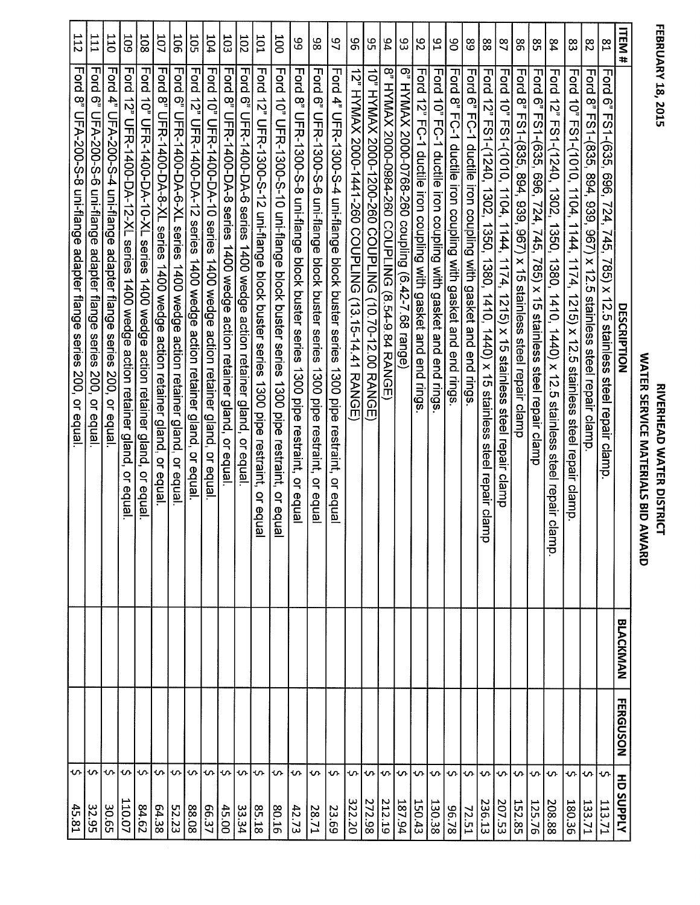**FEBRUARY 18, 2015** 

| <b>ITEM#</b>     | DESCRIPTION                                                                                          | <b>BLACKMAN</b> | <b>FERGUSON</b> | <b>HD SUPPLY</b>       |
|------------------|------------------------------------------------------------------------------------------------------|-----------------|-----------------|------------------------|
| $^{5}$           | ե<br>55<br>6" FS1-(635,<br>696, 724, 745, 785) x 12.5<br>stainless<br>steel repair clamp             |                 |                 | <b>'</b><br>113.71     |
| $\frac{8}{2}$    | Ford<br>ထ္<br>FS1-(835,<br>894,<br>939,<br>(296<br>$x$ 12.5<br>stainless steel repair clamp          |                 |                 | ¢<br>133.71            |
| ဥ္လ              | Ford<br>ಕ್ಕ<br>FS1-(1010, 1104, 1144,<br>1174, 1215) x 12.5 steel repair<br>clamp.                   |                 |                 | ᠊ᠬ<br>180.36           |
| 54               | Ford 12" FS1-(1240, 1350, 1350, 1440) x 12.5<br>stainless<br>steel repair cl<br>lamp                 |                 |                 | <b>S</b><br>208.88     |
| 85               | Ford<br>တ္<br>FS1-(635,<br>696, 724, 745,<br>785) x 15<br>stainless<br>steel repair clamp            |                 |                 | <b>SV</b><br>125.76    |
| 86               | Ford<br>8" FS1-(835, 894, 939, 967) x 15 stainless steel repair clamp                                |                 |                 | s<br>152.85            |
| $\overline{2}$   | Ford 10" FS1-(1010, 1104, 1174, 1174, 1174, 1174, 1174, 1174, 1174, 1174, 1174, 1174, 1174, 1174, 11 |                 |                 | い<br>207.53            |
| 88               | Ford 12" FS1-(1240, 1302, 1350, 1410, 1440) x 15 stainless<br>steel repair<br>clan<br>ㅎ              |                 |                 | ጥ<br>236.13            |
| အိ               | Ford 6" FC-1 ductile iron coupling with gasket and end rings                                         |                 |                 | 'ഗ<br><b>72.51</b>     |
| 8                | Ford<br>8" FC-1 ductile iron coupling with gasket<br>and end rings                                   |                 |                 | in.<br>82.78           |
| $^{16}$          | Ford 10"<br>FC-1 ductile iron coupling with gasket and end rings                                     |                 |                 | <b>S</b><br>130.38     |
| 82               | Ford 12" FC-1 ductile iron coupling with gasket and end rings                                        |                 |                 | ¢<br>150.43            |
| 83               | 6" HYMAX 2000-0768-260 coupling (6.42-7.68 range)                                                    |                 |                 | ひ<br>187.94            |
| 94               | 8" HYMAX 2000-0984-260 COUPLING (8.54-9.84 RANGE                                                     |                 |                 | l ທ-l<br>212.19        |
| ပ္ပ              | <b>DNITANX 2000-1200-1200 CONFITANT</b><br>10.70-12.00 RANGE                                         |                 |                 | ທ⊦<br>272.98           |
| 96               | 12" HYMAX 2000-1441-260 COUPLING<br>(13.15-14.41 RANGE                                               |                 |                 | ጥ<br>322.20            |
| 97               | Ford 4" UFR-1300-S-4 uni-flange block buster series 1300 pipe restraint,<br>$\overline{a}$<br>edual  |                 |                 | ጥ<br>23.69             |
| 86               | Ford 6" UFR-1300-S-6 uni-flange block buster series<br>1300 pipe<br>restraint,<br>or equal           |                 |                 | S<br>28.71             |
| 89               | Ford 8" UFR-1300-S-8 uni-flange block buster series 1300 pipe restraint, or equal                    |                 |                 | ጥ<br>42.73             |
| 100              | Ford 10" UFR-1300-S-10 uni-flange block buster series<br>1300 pipe restraint,<br>or equal            |                 |                 | $\bm{\omega}$<br>80.16 |
| 10T              | Ford 12" UFR-1300-S-12 uni-flange block buster 1800 pipe restrating<br>or equal                      |                 |                 | l Ur<br>85.18          |
| 102              | Ford 6" UFR-1400-DA-6 series 1400 wedge action retainer gland, or equal                              |                 |                 | $\sim$<br>33.34        |
| 103              | Ford 8" UFR-1400-DA-8 series 1400 wedge action retainer gland, or equal.                             |                 |                 | 45.00                  |
| 104              | Ford<br>$\vec{q}$<br><b>UFR-1400-DA-10 series</b><br>1400 wedge action retainer gland, or equal.     |                 |                 | ৸৸৵<br>66.37           |
| 502              | Ford<br><b>12°</b><br>UFR-1400-DA-12 series 1400 wedge action retainer gland, or equal.              |                 |                 | $\Omega$<br>88.08      |
| 505              | Ford 6"<br>UFR-1400-DA-6-XL series 1400 wedge action retainer gland, or equal                        |                 |                 | $\sim$<br>52.23        |
| 101              | Ford 8" UFR-1400-DA-8-XL series 1400 wedge action retainer gland,<br>$\overline{a}$<br>equal         |                 |                 | ທ⊦<br>64.38            |
| 108              | Ford<br>10" UFR-1400-DA-10-XL series 1400 wedge<br>action retainer gland,<br>or equal.               |                 |                 | ∽⊦<br>84.62            |
| <b>502</b>       | Ford<br>$\vec{S}$<br>UFR-1400-DA-12-XL<br>series<br>1400 wedge action retainer gland,<br>or equal.   |                 |                 | ∣∙v∿<br>110.07         |
| $\overline{011}$ | <b>Ford</b><br>$\mathbf{4}^n$<br>UFA-200-S-4 uni-flange adapter flange series 200, or equal          |                 |                 | $\sim$<br>30.65        |
| ΙIΙ              | Ford 6" UFA-200-S-6 uni-flange adapter flange series 200, or equal                                   |                 |                 | n<br>32.95             |
| 112              | Ford 8"<br>UFA-200-S-8 uni-flange adapter flange series<br>200, or equal.                            |                 |                 | m.<br>45.81            |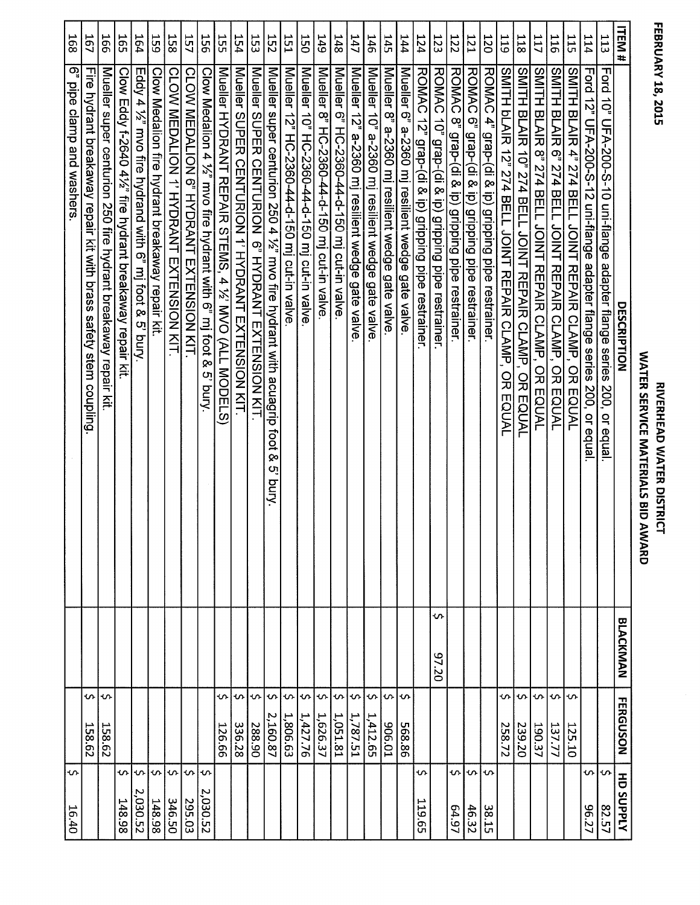| h<br>t |
|--------|
| ì      |
|        |
| i      |
| ĺ      |
|        |
|        |
|        |
|        |
|        |
|        |
|        |
|        |
|        |
|        |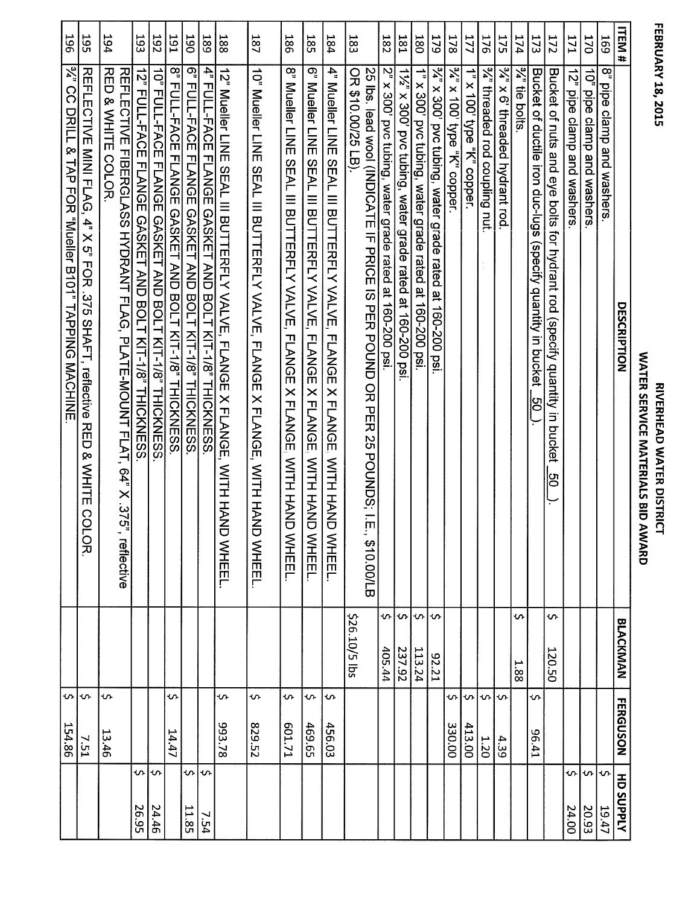| ī<br>F |
|--------|
|        |
|        |
|        |
|        |
|        |
|        |
|        |
|        |
| L<br>г |
| ю      |
| í      |
|        |
|        |
|        |
|        |
|        |
|        |

## WATER SERVICE MATERIALS BID AWARD **RIVERHEAD WATER DISTRICT**

| 193<br>194<br>56T |                                                                                             |                                                                                                       |                                                       | <b>192</b>                                                     | I <sub>6</sub> 1                                            | <b>J90</b>                                                    | 189                                                             | 188                                                                                     | <b>187</b>                                                                                 | <b>186</b>                                                                                                     | 58L                                                                                  | 184                                                                                                   | 183                |                                                                                       | <b>182</b>                                              | <b>181</b>                                               | 180                                                    | 57 <sub>9</sub>                                               | 178                            | 177                        | 176                                     | 175                           | 174          | 173                                                                     | <b>172</b>                                                                     | <b>IZI</b>                 | 170                        | 59T                         | <b>ITEM#</b>       |  |
|-------------------|---------------------------------------------------------------------------------------------|-------------------------------------------------------------------------------------------------------|-------------------------------------------------------|----------------------------------------------------------------|-------------------------------------------------------------|---------------------------------------------------------------|-----------------------------------------------------------------|-----------------------------------------------------------------------------------------|--------------------------------------------------------------------------------------------|----------------------------------------------------------------------------------------------------------------|--------------------------------------------------------------------------------------|-------------------------------------------------------------------------------------------------------|--------------------|---------------------------------------------------------------------------------------|---------------------------------------------------------|----------------------------------------------------------|--------------------------------------------------------|---------------------------------------------------------------|--------------------------------|----------------------------|-----------------------------------------|-------------------------------|--------------|-------------------------------------------------------------------------|--------------------------------------------------------------------------------|----------------------------|----------------------------|-----------------------------|--------------------|--|
|                   | REFILECTIVE MIMI FITAG, 4" X 3" FOR .372 SHAFL, reflective RED<br>& WHITE<br>CO<br>Гок<br>С | RED & WHITE COLOR.<br>REFLECTIVE FIBERGLASS HYDRANT FLAG, PLATE-MOUNT FLAT, 64" X .375"<br>reflective | 12" FULL-FACE FLANGE GASKEL AND BOLT KIT-1%" THUXNESS | <b>10" FULL-FACE FLANGE GASKET AND BOLT KIT-1/8" THICKNESS</b> | ထို့<br>FULL-FACE FLANGE GASKET AND BOLT KIT-1/8" THICKNESS | ್ಚಾ<br>FULL-FACE<br>FLANGE GASKET AND BOLT KIT-1/8" THICKNESS | $\vec{4}$<br>FULL-FACE ELANGE GASKET AND BOLT XT-1/8" THICKNESS | 12, "Mueler LINE SEAL III BULTERFIY VALVE, "FLANGE X FLANGE",<br><b>WITH HAND WHEEL</b> | 10 <sub>'</sub> Mueller LINE<br>SEAL III BUTTERFLY VALVE, FLANGE X FLANGE, WITH HAND VALVE | 8" Mueller LINE<br>SEAL III BUTTERFLY VALVE,<br><b>FLANGE</b><br>X FLANGE,<br><b>MITH HAND</b><br><b>WHEEL</b> | 6" Mueller LINE SEAL III BUTTERFLY VALVE, FLANGE X FLANGE, WITH HAND<br><b>WHEEL</b> | 4" Mueller LINE SEAL III BUTTERFLY VALVE.<br><b>FLANGE</b><br>X FLANGE.<br><b>MITH HAND</b><br>WHEEL. | OR \$10.00/25 LB). | 25 Ibs. lead wool (INDICATE IF PRICE IS PER POUND OR PER 25 POUNDS; I.E<br>\$10.00/LB | 2" x 300' pvc tubing, water grade rated at 160-200 psi. | 1%" x 300' pvc tubing, water grade rated at 160-200 psi. | 1" x 300' pvc tubing, water grade rated at 160-200 psi | 3/2 × 200<br>pvc tubing, water grade rated<br>at 160-200 psi. | s/a<br>x 100' type "K" copper. | 1" x 100' type "K" copper. | <sup>32</sup> threaded rod coupling nut | %" x 6' threaded hydrant rod. | %" tie bolts | Bucket of ductile iron duc-lugs (specify quantity in bucket<br> ပ<br> ပ | Bucket of nuts and eye bolts for hydrant rod (specify quantity in bucket<br>ငြ | 12" pipe clamp and washers | 10" pipe clamp and washers | œ<br>pipe clamp and washers | <b>DESCRIPTION</b> |  |
|                   |                                                                                             |                                                                                                       |                                                       |                                                                |                                                             |                                                               |                                                                 |                                                                                         |                                                                                            |                                                                                                                |                                                                                      |                                                                                                       | \$26.10/5 lbs      |                                                                                       | ጥ<br>405.44                                             | \$<br>237.92                                             | $\sim$<br>113.24                                       | ŀى<br>12.21                                                   |                                |                            |                                         |                               | s.<br>1.88   |                                                                         | Š.<br>120.50                                                                   |                            |                            |                             | <b>BLACKMAN</b>    |  |
| $\sim$<br>154.86  | ᠊ᡃ<br>7.51                                                                                  | ∽<br>13.46                                                                                            |                                                       |                                                                | s.<br>14.47                                                 |                                                               |                                                                 | ጥ<br>82.78                                                                              | ጥ<br>829.52                                                                                | ᠊ᡃ<br>EZ1171                                                                                                   | s<br>469.65                                                                          | Ş<br>456.03                                                                                           |                    |                                                                                       |                                                         |                                                          |                                                        |                                                               | S<br>330.00                    | ᠊ᠬ<br>413.00               | ς.<br>ö                                 | <b>S</b><br>4.39              |              | \$<br>14.96                                                             |                                                                                |                            |                            |                             | <b>FERGUSON</b>    |  |
|                   |                                                                                             |                                                                                                       | Ş<br>26.95                                            | Ş<br>24.46                                                     |                                                             | \$<br>11.85                                                   | ∽<br>7.54                                                       |                                                                                         |                                                                                            |                                                                                                                |                                                                                      |                                                                                                       |                    |                                                                                       |                                                         |                                                          |                                                        |                                                               |                                |                            |                                         |                               |              |                                                                         |                                                                                | \$<br>24.00                | ₩<br>20.93                 | ᠊ᡃ<br>19.47                 | <b>HD SUPPLY</b>   |  |